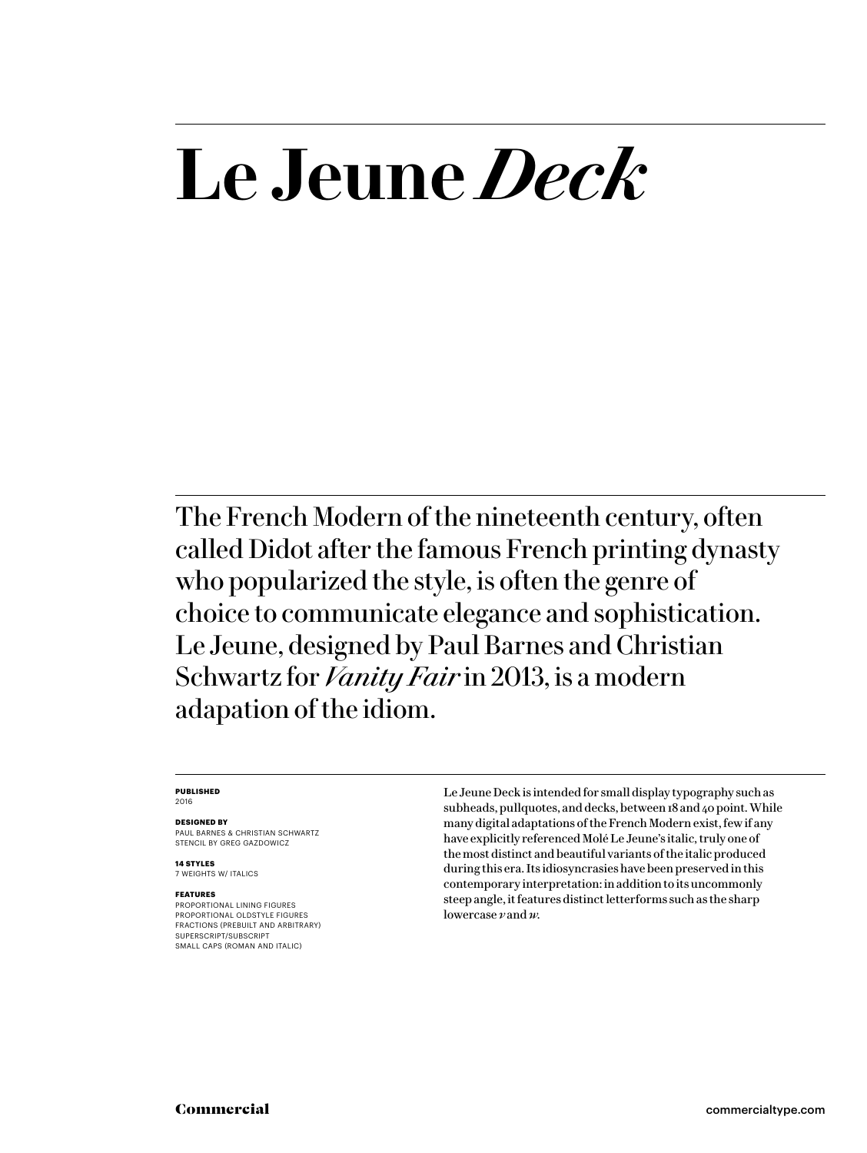# **Le Jeune** *Deck*

The French Modern of the nineteenth century, often called Didot after the famous French printing dynasty who popularized the style, is often the genre of choice to communicate elegance and sophistication. Le Jeune, designed by Paul Barnes and Christian Schwartz for *Vanity Fair* in 2013, is a modern adapation of the idiom.

#### **PUBLISHED** 2016

### **DESIGNED BY**

PAUL BARNES & CHRISTIAN SCHWARTZ STENCIL BY GREG GAZDOWICZ

**14 STYLES** 7 WEIGHTS W/ ITALICS

### **FEATURES**

PROPORTIONAL LINING FIGURES PROPORTIONAL OLDSTYLE FIGURES FRACTIONS (PREBUILT AND ARBITRARY) SUPERSCRIPT/SUBSCRIPT SMALL CAPS (ROMAN AND ITALIC)

Le Jeune Deck is intended for small display typography such as subheads, pullquotes, and decks, between 18 and 40 point. While many digital adaptations of the French Modern exist, few if any have explicitly referenced Molé Le Jeune's italic, truly one of the most distinct and beautiful variants of the italic produced during this era. Its idiosyncrasies have been preserved in this contemporary interpretation: in addition to its uncommonly steep angle, it features distinct letterforms such as the sharp lowercase *v* and *w.*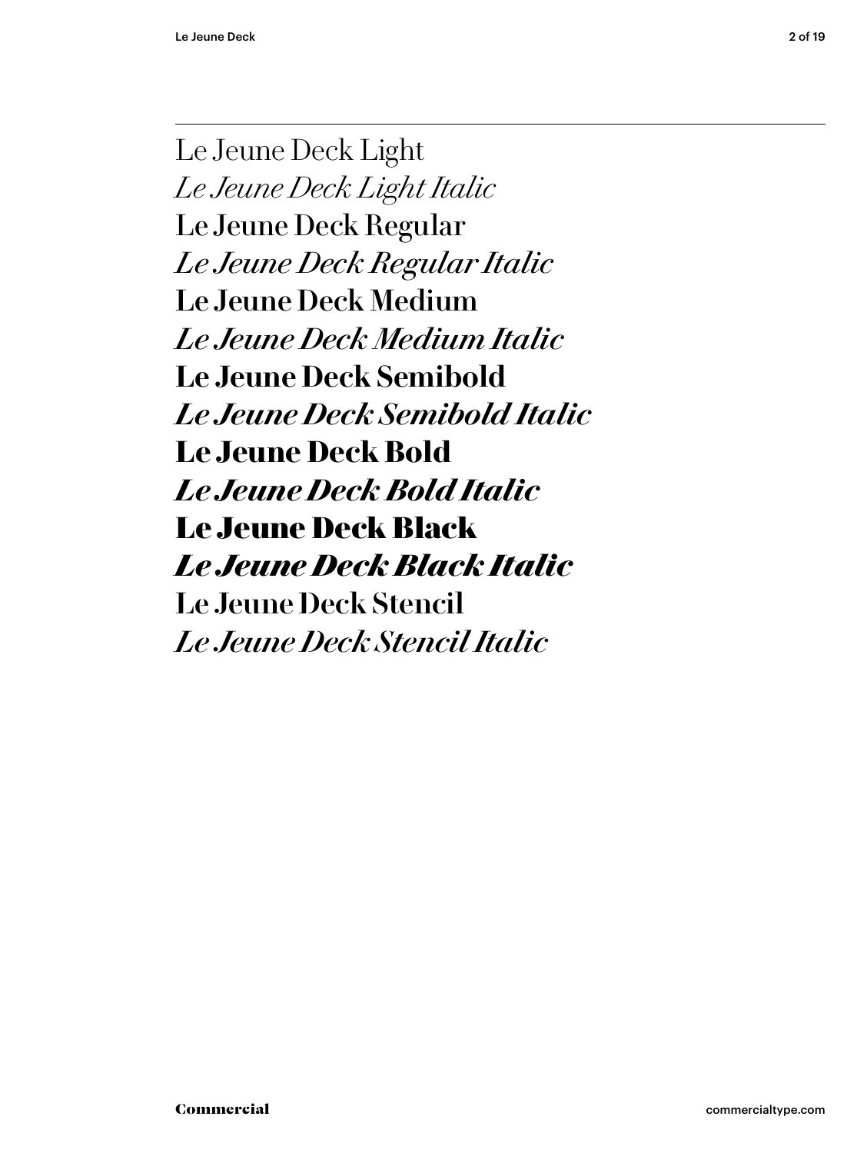Le Jeune Deck Light *Le Jeune Deck Light Italic* Le Jeune Deck Regular *Le Jeune Deck Regular Italic* Le Jeune Deck Medium *Le Jeune Deck Medium Italic* **Le Jeune Deck Semibold** *Le Jeune Deck Semibold Italic* **Le Jeune Deck Bold** *Le Jeune Deck Bold Italic* Le Jeune Deck Black *Le Jeune Deck Black Italic* Le Jeune Deck Stencil *Le Jeune Deck Stencil Italic*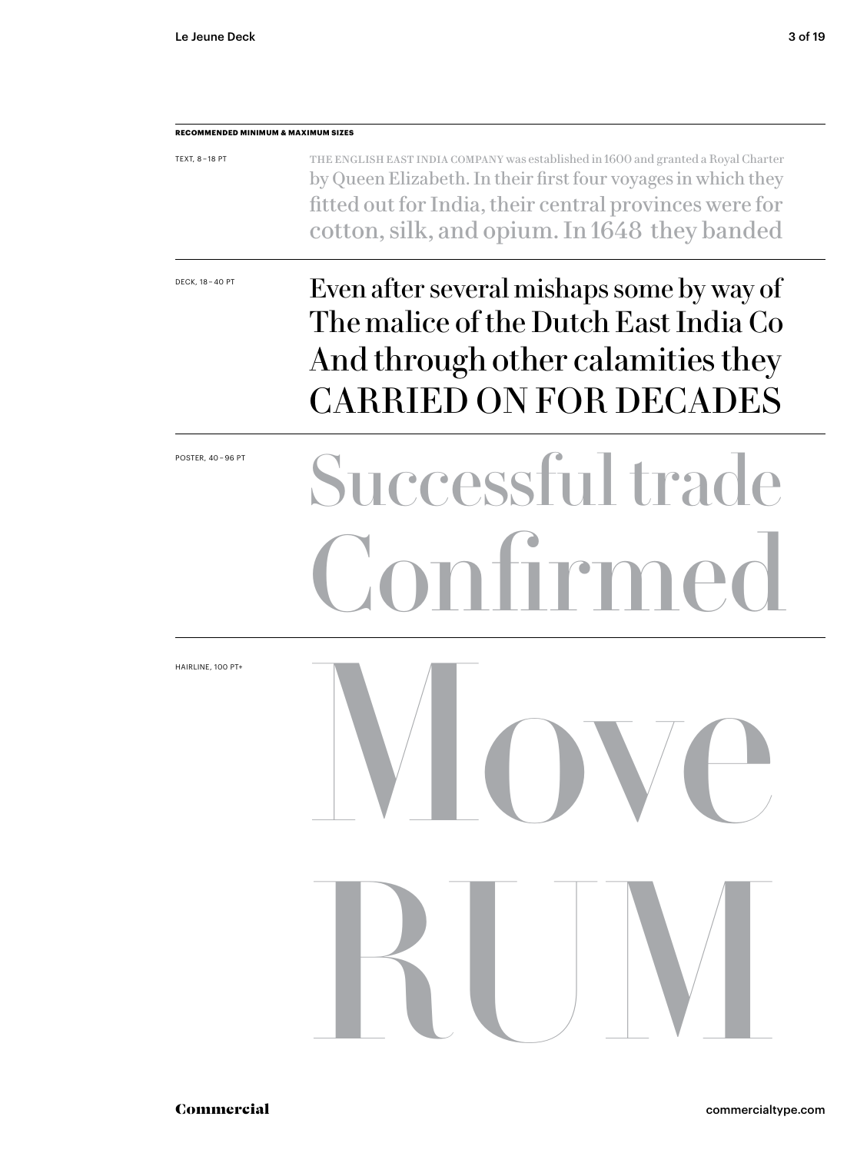## **RECOMMENDED MINIMUM & MAXIMUM SIZES** TEXT, 8 – 18 PT DECK, 18 – 40 PT POSTER, 40 – 96 PT HAIRLINE, 100 PT+ The English East India Company was established in 1600 and granted a Royal Charter by Queen Elizabeth. In their first four voyages in which they fitted out for India, their central provinces were for cotton, silk, and opium. In 1648 they banded Even after several mishaps some by way of The malice of the Dutch East India Co And through other calamities they CARRIED ON FOR DECADES Successful trad Confirmed Move RUM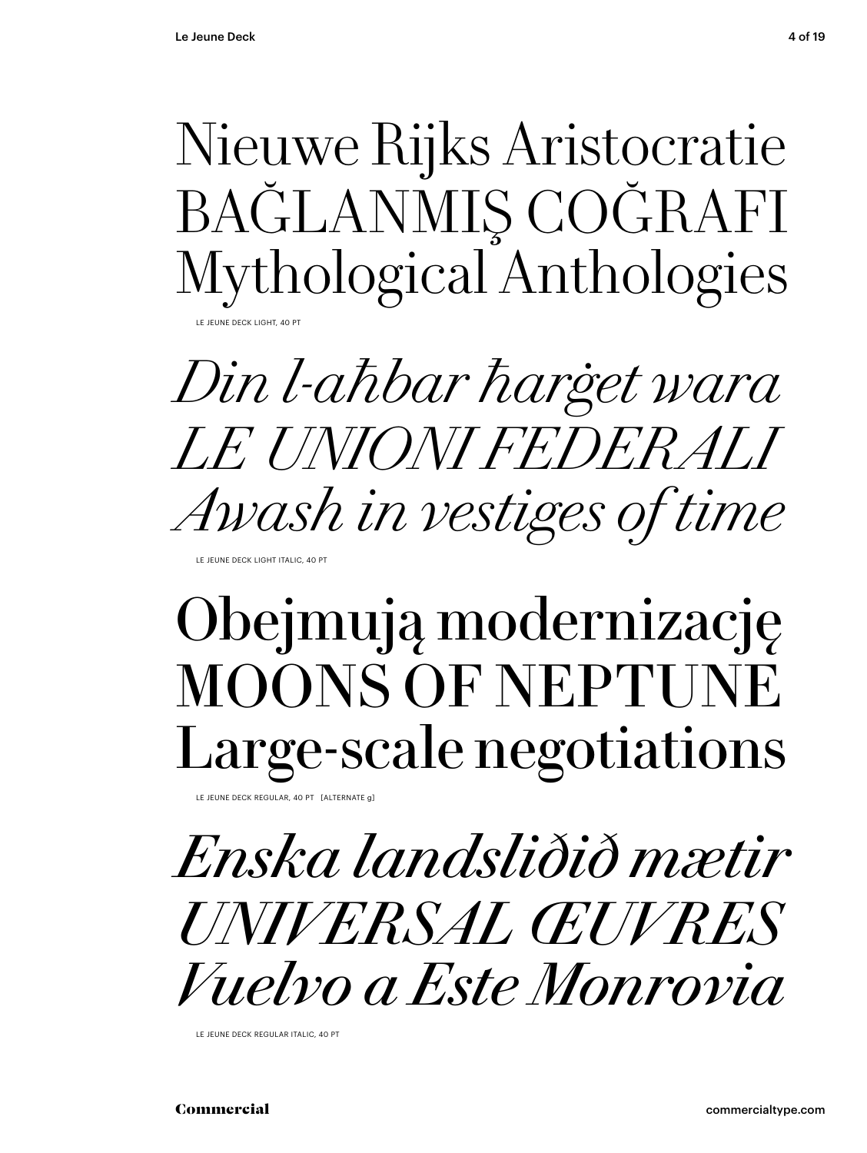Nieuwe Rijks Aristocratie BAĞLANMIŞ COĞRAFI Mythological Anthologies **IFUNE DECK LIGHT** 

Din l-aħbar ħarġet wara *LE UNIONI FEDERALI* Awash in vestiges of time

LE JEUNE DECK LIGHT ITALIC, 40 PT

## Obejmują modernizację **MOONS OF NEPTUNE** Large-scale negotiations

LE JEUNE DECK REGULAR, 40 PT [ALTERNATE a]

Enska landsliðið mætir UNIVERSAL ŒUVRES *Vuelvo a Este Monrovia* 

LE JEUNE DECK REGULAR ITALIC, 40 PT

Commercial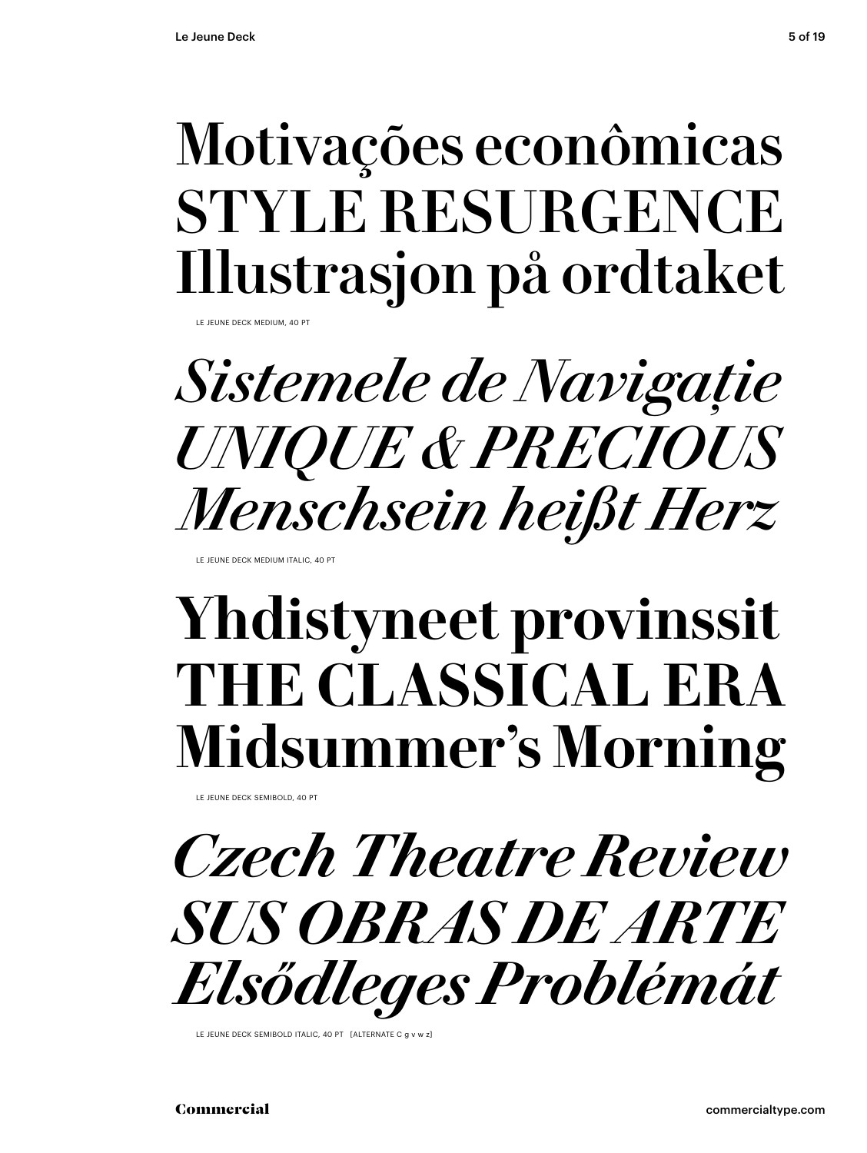## Motivações econômicas STYLE RESURGENCE Illustrasjon på ordtaket

LE JEUNE DECK MEDIUM,

*Sistemele de Navigație UNIQUE & PRECIOUS Menschsein heißt Herz*

LE JEUNE DECK MEDIUM ITALIC, 40 PT

## **Yhdistyneet provinssit THE CLASSICAL ERA Midsummer's Morning**

LE JEUNE DECK SEMIBOLD, 40 PT



LE JEUNE DECK SEMIBOLD ITALIC, 40 PT [ALTERNATE C g v w z]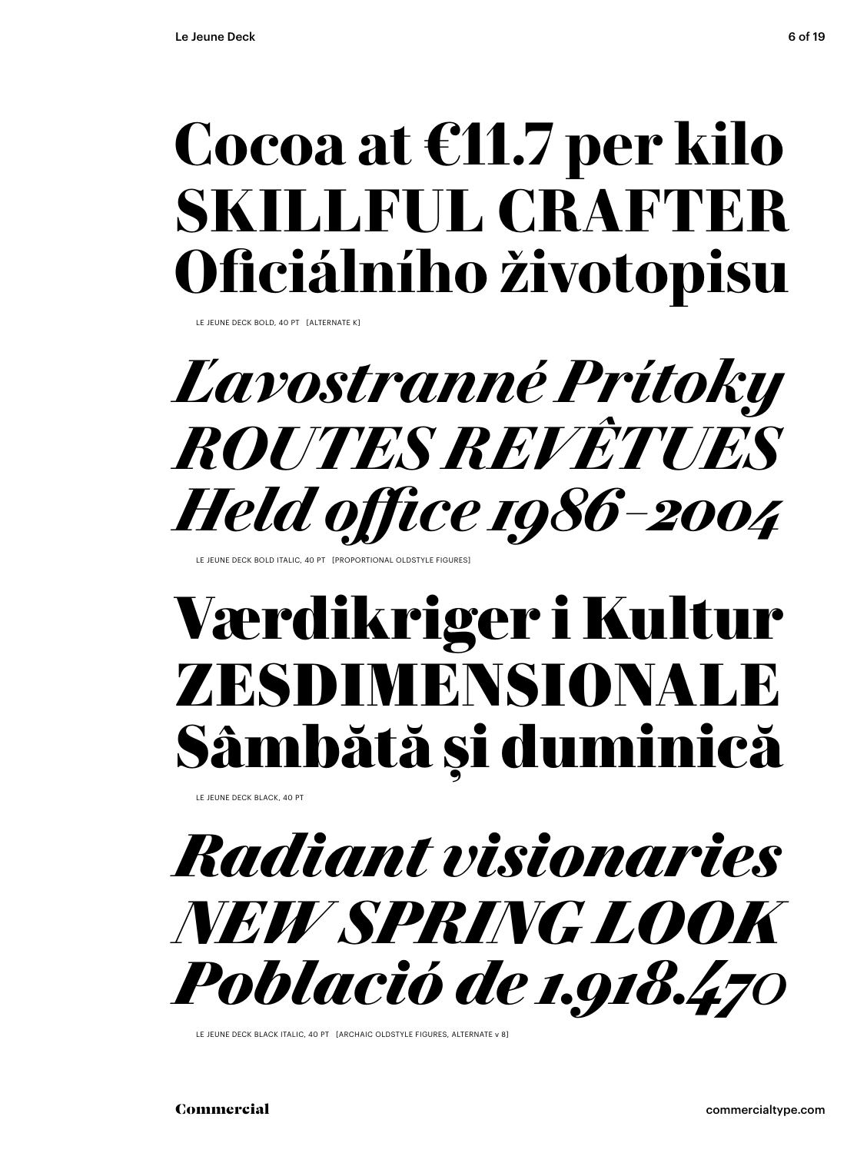## **Cocoa at €11.7 per kilo SKILLFUL CRAFTER Oficiálního životopisu**

LE JEUNE DECK BOLD, 40 PT [ALTERNATE K]

## *Ľavostranné Prítoky ROUTES REVÊTUES Held office 1986 – 2004*

JEUNE DECK BOLD ITALIC, 40 PT [PROPORTIONAL OLDSTYLE FIGURES

## Værdikriger i Kultur ZESDIMENSIONALE Sâmbătă şi duminică

LE JEUNE DECK BLACK, 40 PT



LE JEUNE DECK BLACK ITALIC, 40 PT [ARCHAIC OLDSTYLE FIGURES, ALTERNATE v 8]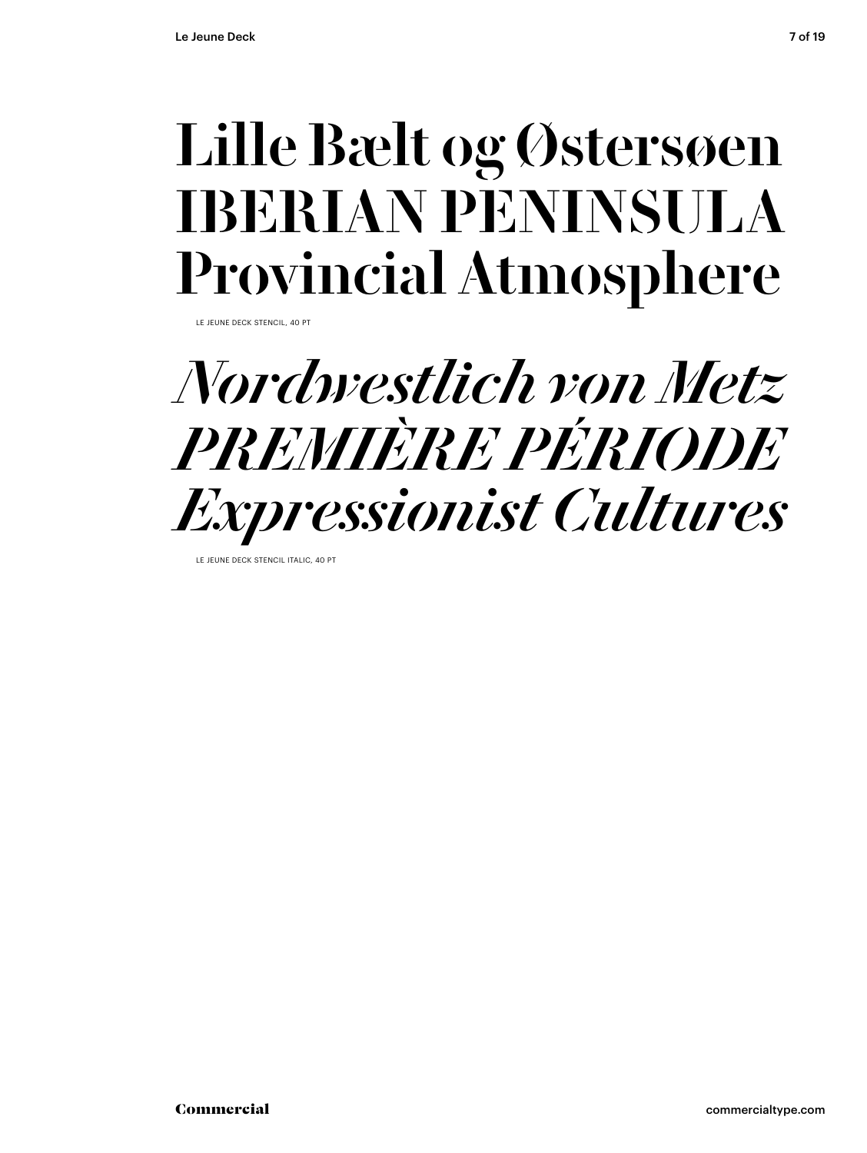## Lille Bælt og Østersøen IBERIAN PENINSULA Provincial Atmosphere

LE JEUNE DECK STENCIL, 40 PT



LE JEUNE DECK STENCIL ITALIC, 40 PT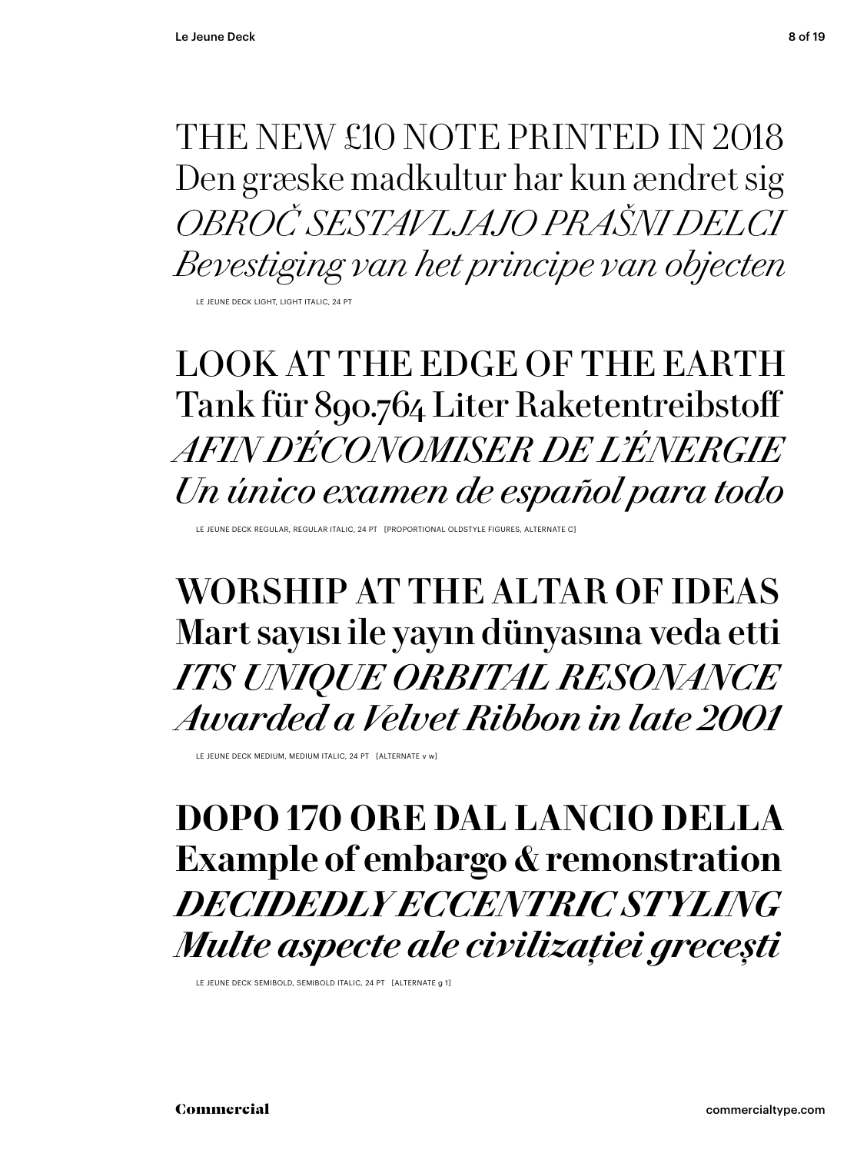THE NEW £10 NOTE PRINTED IN 2018 Den græske madkultur har kun ændret sig *OBROČ SESTAVLJAJO PRAŠNI DELCI Bevestiging van het principe van objecten*

LE JEUNE DECK LIGHT, LIGHT ITALIC, 24 PT

## LOOK AT THE EDGE OF THE EARTH Tank für 890.764 Liter Raketentreibstoff *AFIN D'ÉCONOMISER DE L'ÉNERGIE Un único examen de español para todo*

LE JEUNE DECK REGULAR, REGULAR ITALIC, 24 PT [PROPORTIONAL OLDSTYLE FIGURES, ALTERNATE C]

WORSHIP AT THE ALTAR OF IDEAS Mart sayısı ile yayın dünyasına veda etti *ITS UNIQUE ORBITAL RESONANCE Awarded a Velvet Ribbon in late 2001*

LE JEUNE DECK MEDIUM, MEDIUM ITALIC, 24 PT [ALTERNATE v w]

### **DOPO 170 ORE DAL LANCIO DELLA Example of embargo & remonstration** *DECIDEDLY ECCENTRIC STYLING Multe aspecte ale civilizației grecești*

LE JEUNE DECK SEMIBOLD, SEMIBOLD ITALIC, 24 PT [ALTERNATE g 1]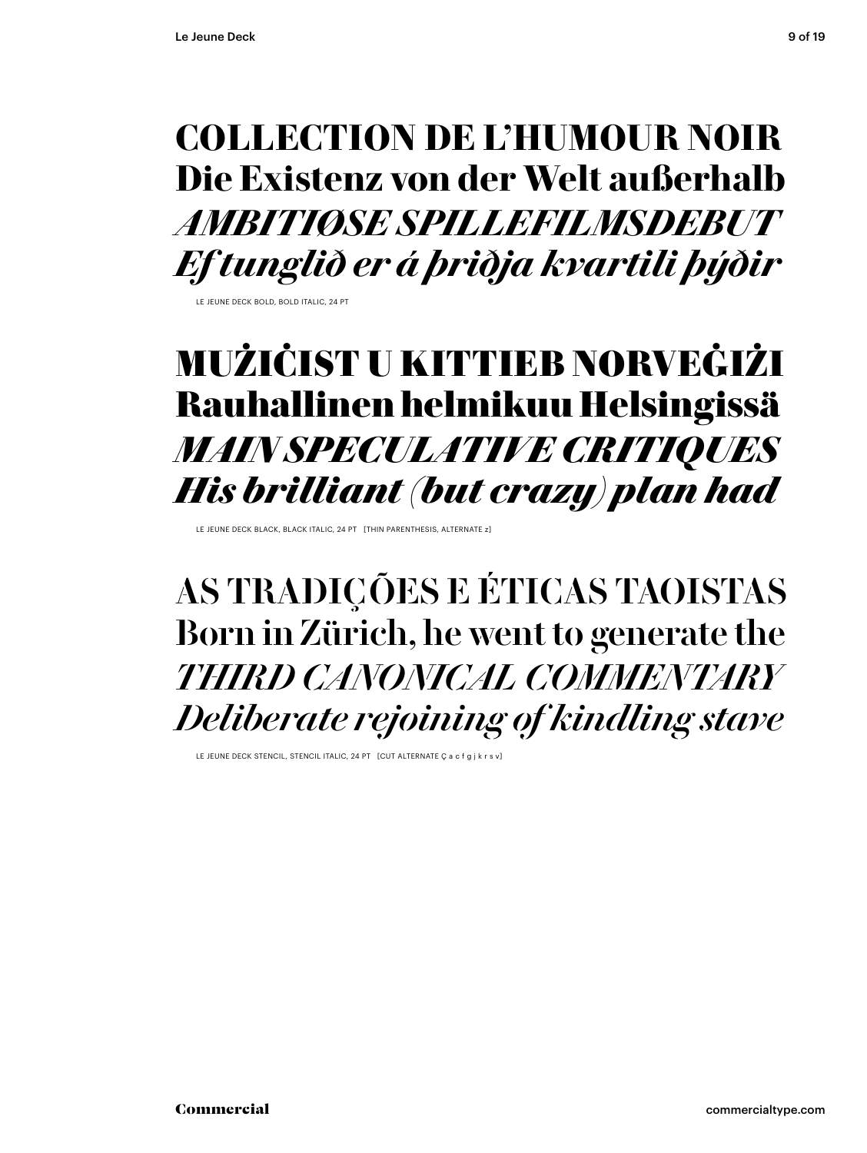## **COLLECTION DE L'HUMOUR NOIR** Die Existenz von der Welt außerhalb AMBITIØSE SPILLEFILMSDERUT Ef tunglið er á þriðja kvartili þýðir

LE JELINE DECK BOLD, BOLD JTALIC, 24 PT

## MUŻIĆIST U KITTIEB NORVEĠIŻI Rauhallinen helmikuu Helsingissä **MAIN SPECULATIVE CRITIQUES** His brilliant (but crazy) plan had

I E JEUNE DECK BLACK, BLACK ITALIC, 24 PT THIN PARENTHESIS, ALTERNATE 7

AS TRADIÇÕES E ÉTICAS TAOISTAS Born in Zürich, he went to generate the THIRD CANONICAL COMMENTARY Deliberate rejoining of kindling stave

LE JEUNE DECK STENCIL, STENCIL ITALIC, 24 PT [CUT ALTERNATE Ç a c f g j k r s v]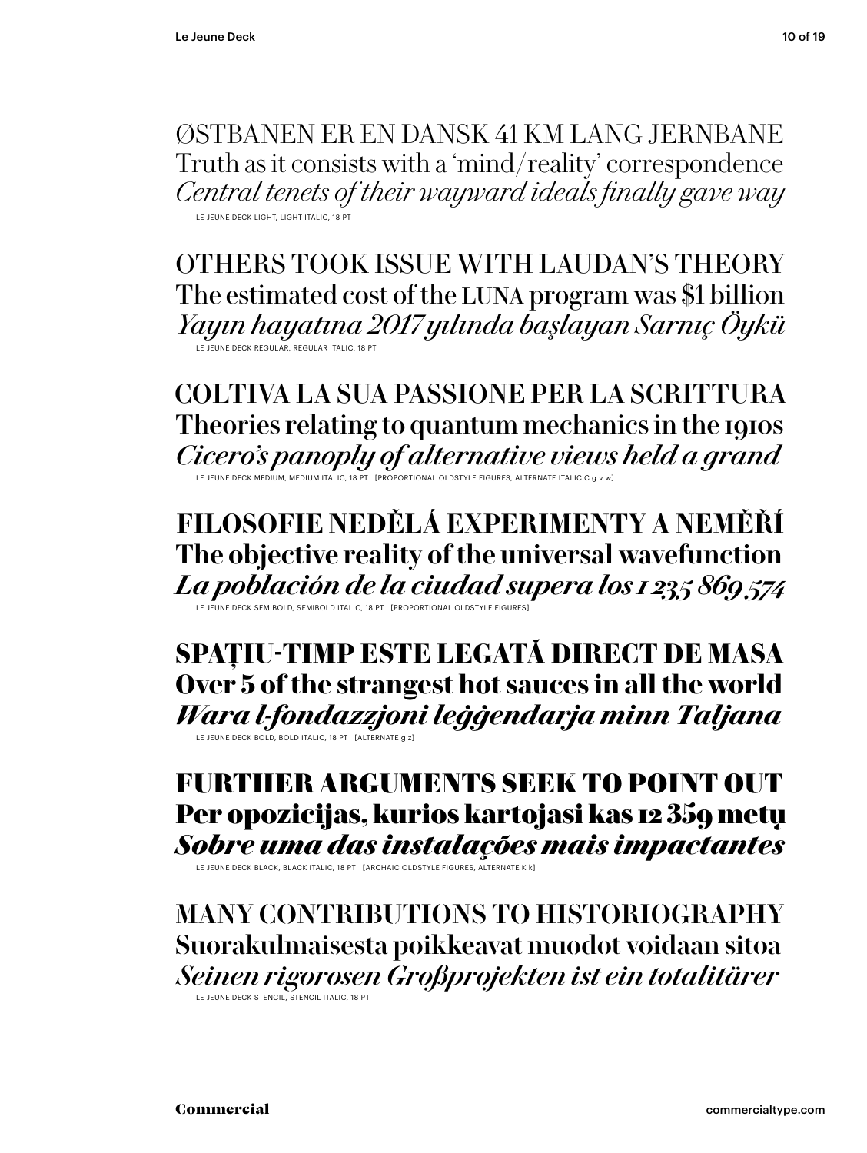ØSTBANEN ER EN DANSK 41 KM LANG JERNBANE Truth as it consists with a 'mind/reality' correspondence Central tenets of their wayward ideals finally gave way LE JEUNE DECK LIGHT, LIGHT ITALIC, 18 PT

OTHERS TOOK ISSUE WITH LAUDAN'S THEORY The estimated cost of the LUNA program was \$1 billion Yayın hayatına 2017 yılında başlayan Sarnıç Öykü LE JEUNE DECK REGULAR, REGULAR ITALIC, 18 PT

COLTIVA LA SUA PASSIONE PER LA SCRITTURA Theories relating to quantum mechanics in the 1910s Cicero's panoply of alternative views held a grand

FILOSOFIE NEDĚLÁ EXPERIMENTY A NEMĚŘÍ The objective reality of the universal wavefunction La población de la ciudad supera los 1 235 869 574

SPATIU-TIMP ESTE LEGATĂ DIRECT DE MASA Over 5 of the strangest hot sauces in all the world Wara l-fondazzjoni leģģendarja minn Taljana LE JEUNE DECK BOLD, BOLD ITALIC, 18 PT [ALTERNATE g z]

### FURTHER ARGUMENTS SEEK TO POINT OUT Per opozicijas, kurios kartojasi kas 12 359 metų Sobre uma das instalações mais impactantes

LE JEUNE DECK BLACK, BLACK ITALIC, 18 PT [ARCHAIC OLDSTYLE FIGURES, ALTERNATE K k]

MANY CONTRIBUTIONS TO HISTORIOGRAPHY Suorakulmaisesta poikkeavat muodot voidaan sitoa Seinen rigorosen Großprojekten ist ein totalitärer

**LE JEUNE DECK STENCIL. STENCIL ITALIC. 18 PT**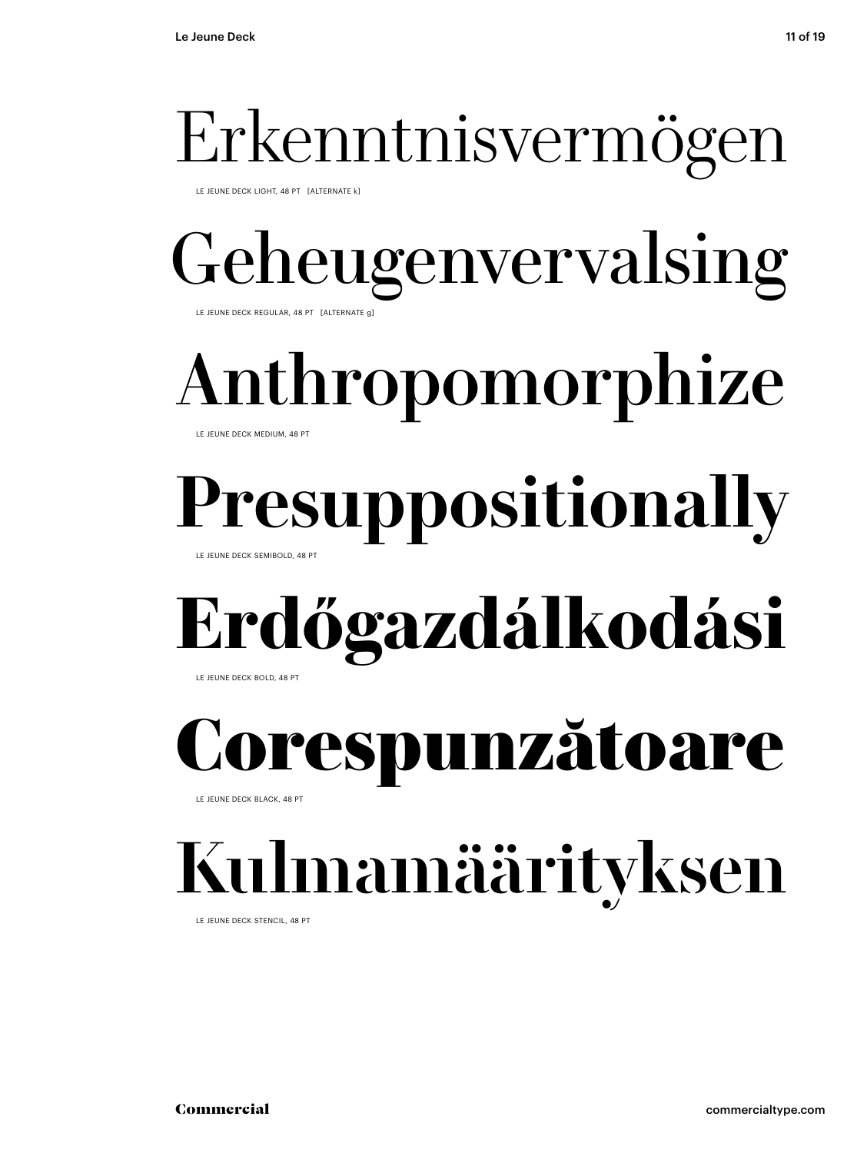# Erkenntnisvermögen

LE JEUNE DECK LIGHT, 48 PT [ALTERNATE k]

## Geheugenvervalsing LE JEUNE DECK REGULAR, 48 PT [ALTERNATE g]

# Anthropomorphize

### LE JEUNE DECK MEDIUM, 48 PT

# **Presuppositionally**

LE JEUNE DECK SEMIBOLD, 48 PT

## **Erdőgazdálkodási**  LE JEUNE DECK BOLD, 48 PT

respunzătoare

LE JEUNE DECK BLACK, 48 PT

# Kulmamäärityksen

LE JEUNE DECK STENCIL, 48 PT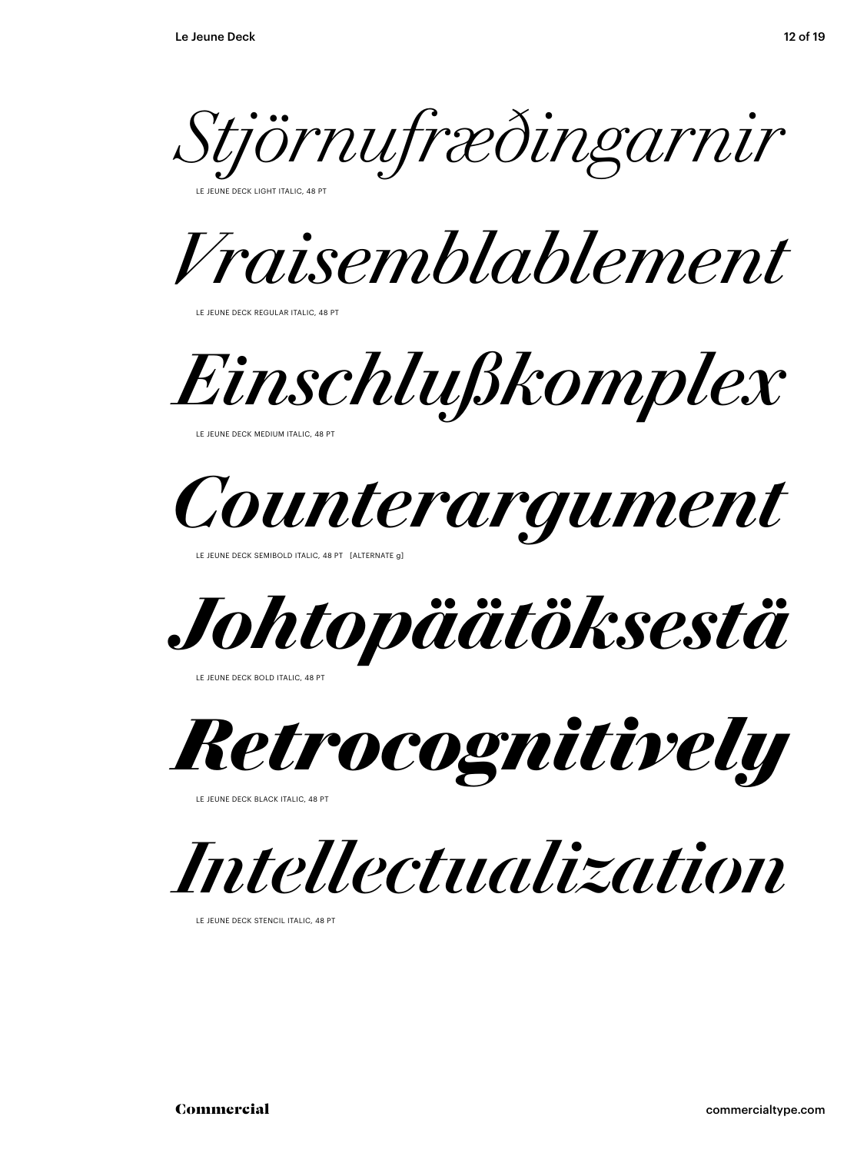*Stjörnufræðingarnir* 

**ELINE DECK LIGHT ITALIC, 48 PT** 

*Vraisemblablement* 

LE JEUNE DECK REGULAR ITALIC, 48 PT

*Einschlußkomplex*

LE JEUNE DECK MEDIUM ITALIC, 48 PT



LE JEUNE DECK SEMIBOLD ITALIC, 48 PT [ALTERNATE g]

*Johtopäätöksestä* 

LE JEUNE DECK BOLD ITALIC, 48 PT

*Retrocognitively* 

LE JEUNE DECK BLACK ITALIC, 48 PT

*Intellectualization* 

LE JEUNE DECK STENCIL ITALIC, 48 PT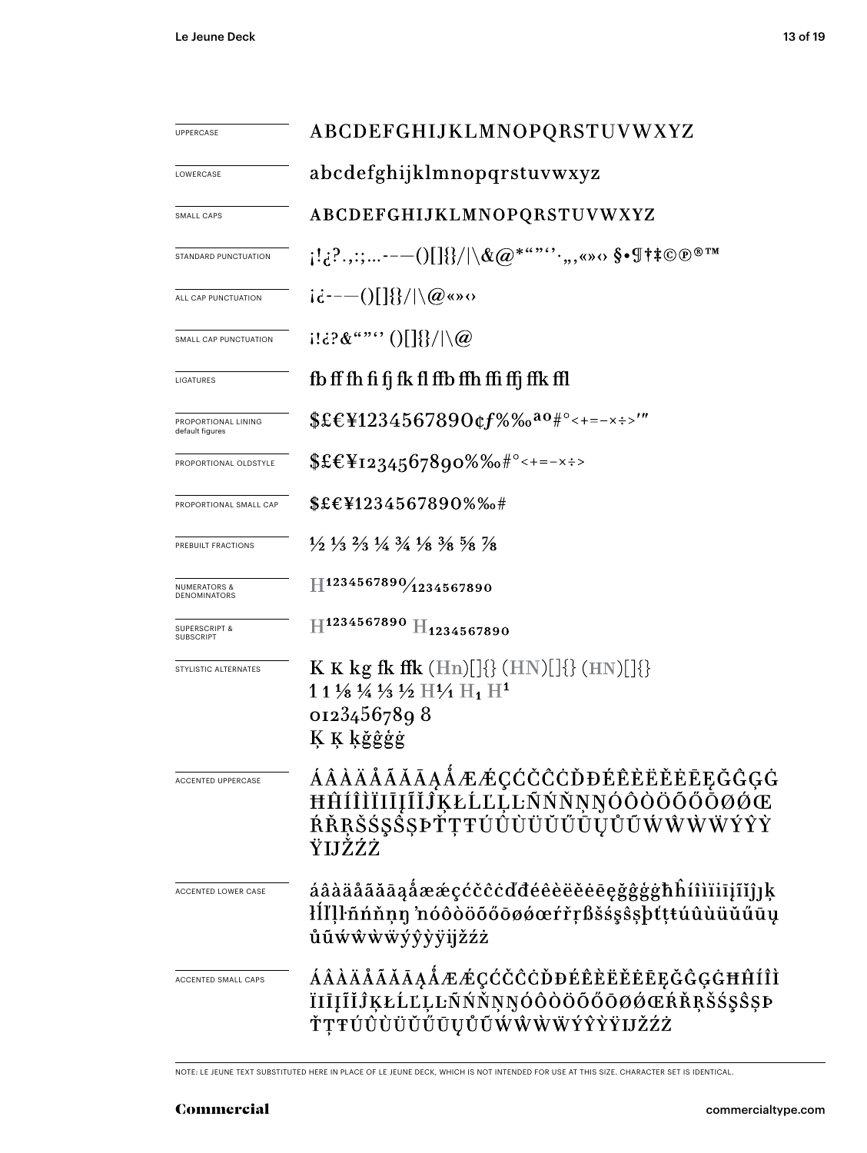| UPPERCASE                               | ABCDEFGHIJKLMNOPQRSTUVWXYZ                                                                                                    |  |  |
|-----------------------------------------|-------------------------------------------------------------------------------------------------------------------------------|--|--|
| LOWERCASE                               | abcdefghijklmnopqrstuvwxyz                                                                                                    |  |  |
| SMALL CAPS                              | ABCDEFGHIJKLMNOPQRSTUVWXYZ                                                                                                    |  |  |
| STANDARD PUNCTUATION                    | $\{1,2^2,2;---()[\} \{\}/  \backslash \& @^{***'}{'}.,$ ( ) $\Diamond$                                                        |  |  |
| ALL CAP PUNCTUATION                     | $i\dot{\epsilon}$ ---()[]{}/ \@«»0                                                                                            |  |  |
| SMALL CAP PUNCTUATION                   | $1!\,\mathrm{d}?\&``\text{``}\text{''}\cup\left[\frac{1}{2}\right]\setminus\left[\frac{1}{2}\right]$                          |  |  |
| LIGATURES                               | fb ff fh fi fj fk fl ffb ffh ffi ffj ffk ffl                                                                                  |  |  |
| PROPORTIONAL LINING<br>default figures  | $$EEY1234567890$ cf%‰ <sup>ao#°</sup> <+=-x÷>'"                                                                               |  |  |
| PROPORTIONAL OLDSTYLE                   | $EE_{1234567890\%6*^{\circ}<+=-x\div}$                                                                                        |  |  |
| PROPORTIONAL SMALL CAP                  | \$£€¥1234567890%%#                                                                                                            |  |  |
| PREBUILT FRACTIONS                      | $\frac{1}{2}$ $\frac{1}{3}$ $\frac{2}{3}$ $\frac{1}{4}$ $\frac{3}{4}$ $\frac{1}{8}$ $\frac{3}{8}$ $\frac{5}{8}$ $\frac{7}{8}$ |  |  |
| <b>NUMERATORS &amp;</b><br>DENOMINATORS | H1234567890/1234567890                                                                                                        |  |  |
| <b>SUPERSCRIPT &amp;</b><br>SUBSCRIPT   | $\rm{H}^{1234567890}$ $\rm{H}_{1234567890}$                                                                                   |  |  |
| STYLISTIC ALTERNATES                    | K K kg fk ffk $(Hn)[]\{\}$ (HN) $[\}$ (HN) $[\}$ }<br>1 1 1/8 1/4 1/3 1/2 $\rm{H1_1 H1^1}$<br>01234567898<br>K K kğêgg        |  |  |
| <b>ACCENTED UPPERCASE</b>               | <b>ÁÂÀÄÅÃĂĀĄÅÆÆÇĆČĈĊĎĐÉÊÈËĔĒĘĞĜĢĠ</b><br>ĦĤÍÎÌÏIĪĮĨĬĴĶŁĹĽĻĿÑŃŇŅŊÓÔŎŎŐŌØØŒ<br>ŔŘŖŠŚŞŠŞÞŤŢŦŰŮÙÜŬŰŨŨŨŰŰŴŴŴŸŶŶ<br>ŸIJŽŹŻ          |  |  |
| ACCENTED LOWER CASE                     | áâàäåãăāąåææçćčĉċďđéêèëěēęğĝģġħĥíîìïiījĩĭĵ]ķ<br>łĺľļŀñńňṇŋ 'nóôòöõőōøǿœŕřṛßšśşŝşþťṭŧúûùüŭűūų<br>ůũẃŵẁẅýŷỳÿijžźż               |  |  |
| ACCENTED SMALL CAPS                     | ÁÂÀÄÅÃĂĀĄÅÆÆÇĆČĈĊĎĐÉÊÈËĔĒĒĘĞĜĢĠĦĤÍÎÌ<br>ÏIĪĮĨĬĴĶŁĹĽĻĿÑŃŇŅŊÓÔÒÖŐŐŌØØŒŔŘŖŠ\$ŞŜŞÞ<br>ŤŢŦÚÛÙÜŬŰŪŲŮŨŴŴŴŴÝŶŶŸIJŽŹŻ                  |  |  |

NOTE: LE JEUNE TEXT SUBSTITUTED HERE IN PLACE OF LE JEUNE DECK, WHICH IS NOT INTENDED FOR USE AT THIS SIZE. CHARACTER SET IS IDENTICAL.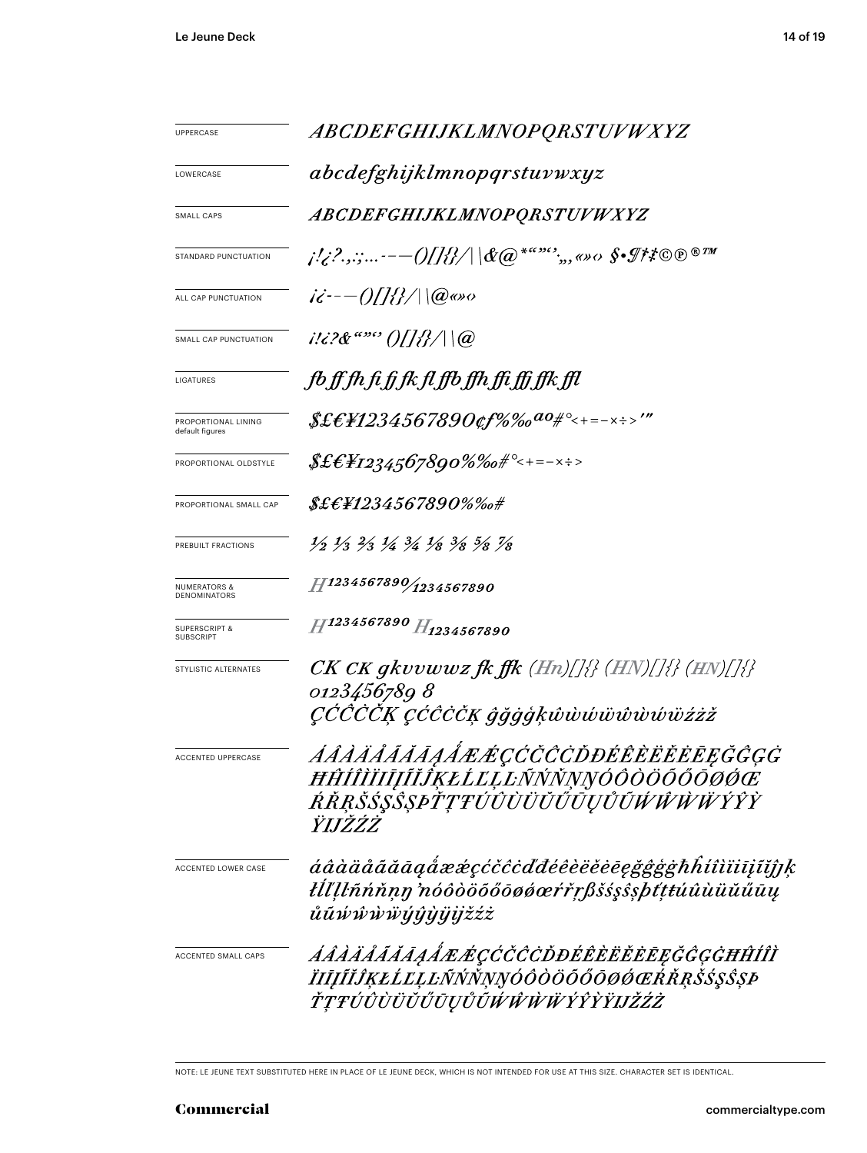| <b>UPPERCASE</b>                             | ABCDEFGHIJKLMNOPQRSTUVWXYZ                                                                                                    |  |  |
|----------------------------------------------|-------------------------------------------------------------------------------------------------------------------------------|--|--|
| LOWERCASE                                    | abcdefghijklmnopqrstuvwxyz                                                                                                    |  |  |
| <b>SMALL CAPS</b>                            | ABCDEFGHIJKLMNOPQRSTUVWXYZ                                                                                                    |  |  |
| STANDARD PUNCTUATION                         |                                                                                                                               |  |  |
| ALL CAP PUNCTUATION                          | $i\ddot{\epsilon}$ - $-$ ()[]{{}/ \@@go                                                                                       |  |  |
| SMALL CAP PUNCTUATION                        | $i!i$ ?& "" ()[]{}/ \@                                                                                                        |  |  |
| LIGATURES                                    | fb ff fh fi fj fk fl ffb ffh ffi ffj ffk ffl                                                                                  |  |  |
| PROPORTIONAL LINING<br>default figures       |                                                                                                                               |  |  |
| PROPORTIONAL OLDSTYLE                        | $$$ £€¥1234,567890%‰#°<+=-×÷>                                                                                                 |  |  |
| PROPORTIONAL SMALL CAP                       | $\pounds\pounds\pounds\pounds\pH1234567890\% \%$ o#                                                                           |  |  |
| PREBUILT FRACTIONS                           | $\frac{1}{2}$ $\frac{1}{3}$ $\frac{2}{3}$ $\frac{1}{4}$ $\frac{3}{4}$ $\frac{1}{8}$ $\frac{3}{8}$ $\frac{5}{8}$ $\frac{7}{8}$ |  |  |
| <b>NUMERATORS &amp;</b><br>DENOMINATORS      | $H$ 1234567890 $/$ 1234567890                                                                                                 |  |  |
| <b>SUPERSCRIPT &amp;</b><br><b>SUBSCRIPT</b> | H1234567890 H1234567890                                                                                                       |  |  |
| STYLISTIC ALTERNATES                         | $CK\,CK\,gkvvwwz\,f\!k\,f\!f\!k\,(Hn)/[\frac{1}{2}\,(HN)/[\frac{1}{2}\,(HN)/[\frac{1}{2}\,])$                                 |  |  |
|                                              | 0123456789 8<br>ÇČČČČĶ ÇĆĈČČĶ ĝğġģķŵẁŵŵŵŵŵïżżž                                                                                |  |  |
| <b>ACCENTED UPPERCASE</b>                    | ÁÂÀÄÅĂĂĀĄÅÆÆÇĆČČCĎĐÉÊÈËĔĔĒĘĞĜĢĠ<br><i>HHIIIIIIIIIIKELLLENNNNNOOOOOOOOCE</i><br>ŔŔŖŠŚŞŜŞÞŤŢŦÚÛÙÜŬŰŨŲŮŨŴŴŴŸŶŶŶ<br>ŸIJŽŹŻ        |  |  |
| ACCENTED LOWER CASE                          | áâàäåããāaaåææçćčĉcďđéêèëĕēēgğĝģġħĥíîìïiījĩǐjjķ<br>łĺľ llñńňnn 'nóôòöõőōøøæŕřrßšśşŝşþť ttúûùüŭűūų<br>ůũŵŵŵẅýŷỳÿijžźż           |  |  |
| ACCENTED SMALL CAPS                          | <i><i>AÂÀÄÅÃĂĀĄÅÆÆÇĆČĈĊĎĐÉÊÈËĔĔĒĘĞĜĢĠĦĤÍÎÌ</i></i><br>ÏIJĨĬĴĶŁĹĽĻĿÑŃŇŅŊÓÔÒÖŐŐŌØŔŔŖŠŚŞŜŞÞ<br>ŤŢŦÚÛÙÜŬŰŪŲŮŨŴŴŴŴÝŶŶŸIJŽŹŻ        |  |  |

NOTE: LE JEUNE TEXT SUBSTITUTED HERE IN PLACE OF LE JEUNE DECK, WHICH IS NOT INTENDED FOR USE AT THIS SIZE. CHARACTER SET IS IDENTICAL.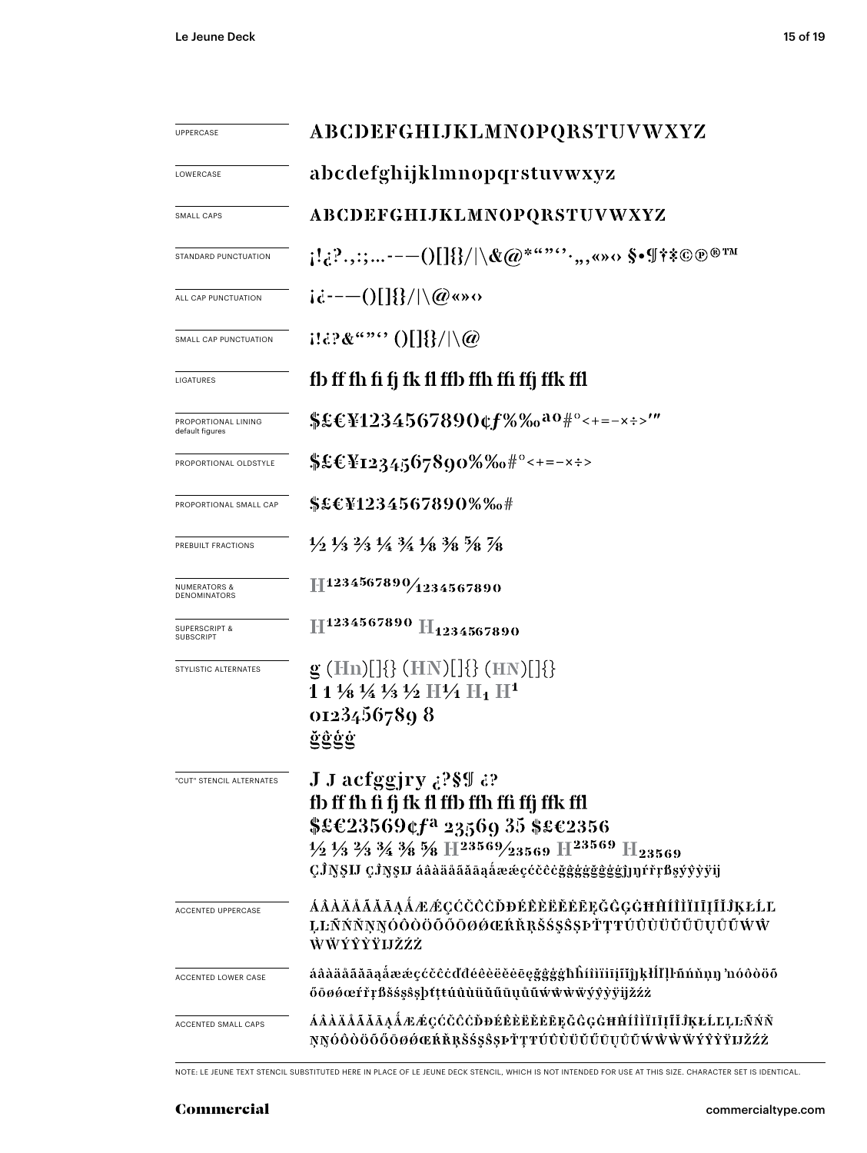| UPPERCASE                                    | ABCDEFGHIJKLMNOPQRSTUVWXYZ                                                                                                                                                                                                                                                                                                                 |  |  |
|----------------------------------------------|--------------------------------------------------------------------------------------------------------------------------------------------------------------------------------------------------------------------------------------------------------------------------------------------------------------------------------------------|--|--|
| LOWERCASE                                    | abcdefghijklmnopqrstuvwxyz                                                                                                                                                                                                                                                                                                                 |  |  |
| SMALL CAPS                                   | ABCDEFGHIJKLMNOPQRSTUVWXYZ                                                                                                                                                                                                                                                                                                                 |  |  |
| STANDARD PUNCTUATION                         | $\{1,2^2,3^2,---0[1]\}/\Lambda$ (Q*"" $\cdots,3^N$ o §•¶†*©®®™                                                                                                                                                                                                                                                                             |  |  |
| ALL CAP PUNCTUATION                          | $i\dot{\alpha}$ ----()[]{}/ \@«» $\alpha$                                                                                                                                                                                                                                                                                                  |  |  |
| SMALL CAP PUNCTUATION                        | $1132\&$ "" $0$ [] $\}/\sqrt{\omega}$                                                                                                                                                                                                                                                                                                      |  |  |
| LIGATURES                                    | fb ff fh fi fj fk fl ffb ffh ffi ffj ffk ffl                                                                                                                                                                                                                                                                                               |  |  |
| PROPORTIONAL LINING<br>default figures       | \$£€¥1234567890¢f%‰ <sup>ao#°</sup> <+=-x÷>'"                                                                                                                                                                                                                                                                                              |  |  |
| PROPORTIONAL OLDSTYLE                        | $$£CY1234567890\%%0$ #°<+=-x÷>                                                                                                                                                                                                                                                                                                             |  |  |
| PROPORTIONAL SMALL CAP                       | \$£€¥1234567890%‰#                                                                                                                                                                                                                                                                                                                         |  |  |
| PREBUILT FRACTIONS                           | $\frac{1}{2}$ $\frac{1}{3}$ $\frac{2}{3}$ $\frac{1}{4}$ $\frac{3}{4}$ $\frac{1}{8}$ $\frac{3}{8}$ $\frac{5}{8}$ $\frac{7}{8}$                                                                                                                                                                                                              |  |  |
| <b>NUMERATORS &amp;</b><br>DENOMINATORS      | 11234567890/1234567890                                                                                                                                                                                                                                                                                                                     |  |  |
| <b>SUPERSCRIPT &amp;</b><br><b>SUBSCRIPT</b> | H <sub>1234567890</sub> H <sub>1234567890</sub>                                                                                                                                                                                                                                                                                            |  |  |
| STYLISTIC ALTERNATES                         | $g(Hn)[]\{\} (HN)[]\{\} (HN)[]\{\}$<br>$11\frac{1}{8}\frac{1}{4}\frac{1}{3}\frac{1}{2}$ H $\frac{1}{4}$ H <sub>1</sub> H <sup>1</sup><br>01234567898<br>ğĝġġ                                                                                                                                                                               |  |  |
| "CUT" STENCIL ALTERNATES                     | J J acfggjry ¿?§¶ ¿?<br>fb ff fh fi fj fk fl ffb ffh ffi ffj ffk ffl<br>$$£C23569$ cf <sup>a</sup> 23569 35 \$£c2356<br>$\frac{1}{2}$ $\frac{1}{3}$ $\frac{2}{3}$ $\frac{3}{4}$ $\frac{3}{8}$ $\frac{5}{8}$ H $\frac{23569}{23569}$ H $\frac{23569}{123569}$ H <sub>23569</sub><br>ÇĴŊŞIJ ÇĴŊŞIJ áâàäåããāąåææçccceğggggggggj]]]rrrßsyyyyij |  |  |
| <b>ACCENTED UPPERCASE</b>                    | ÁÂÀÄÅÃĂĀĄÅÆÆÇĆČČÖÐÉÈÈËĔĔEĘĞĜĢĠĦĤÍÌÌĪIĮĨĬĴĶŁĹĽ<br>ĻĿÑŃŇŅŊÓŎŎŎŐŐŌØØŒŔŘŖŠŚŞŜŖŤŢŦŬŨÙŬŬŰŪŲŮŨŴŴ<br>ŴŴÝŶŶŸIJŽŹŻ                                                                                                                                                                                                                                   |  |  |
| ACCENTED LOWER CASE                          | áâàäåãăāąåææçćčĉċďđéêèëěēęğĝģġħĥíîìïiīįĩĭjjķłĺľļŀñńňņŋ 'nóôòöõ<br>őöøøœŕřŗßšśşŝşþtţŧúûùüŭűūụůũwŵŵwyŷỳÿijžźż                                                                                                                                                                                                                                |  |  |
| ACCENTED SMALL CAPS                          | ÁÂÀÄÄÄÄÄĄÅÆÆÇĆČČÖÐÉÊÈËĔĔĘĞĜĢĠĦĤÍÎÌÏIĮĨĬĴĶŁĹĽĻĿÑŃŇ<br>ŅŊÓÒÒÖŐŐŌØØŒŔŘŖŠŚŞŜŞÞŤŢŦŬŨÙŬŬŬŨŲŮŨŴŴŴŸŶŶŸIJŽŹŻ                                                                                                                                                                                                                                        |  |  |

NOTE: LE JEUNE TEXT STENCIL SUBSTITUTED HERE IN PLACE OF LE JEUNE DECK STENCIL, WHICH IS NOT INTENDED FOR USE AT THIS SIZE. CHARACTER SET IS IDENTICAL.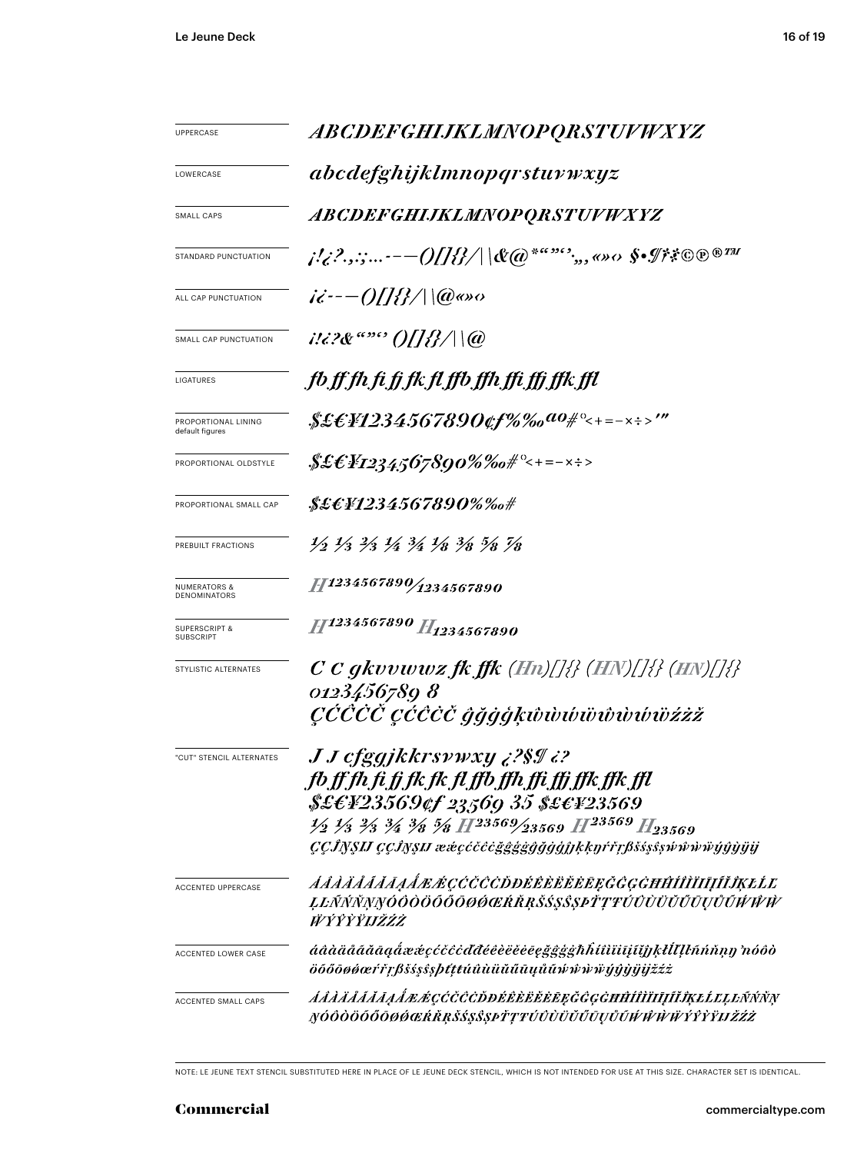| UPPERCASE                                    | <i>ABCDEFGHIJKLMNOPQRSTUVWXYZ</i>                                                                                                                                                                                                                                                                                           |  |  |
|----------------------------------------------|-----------------------------------------------------------------------------------------------------------------------------------------------------------------------------------------------------------------------------------------------------------------------------------------------------------------------------|--|--|
| LOWERCASE                                    | abcdefghijklmnopqrstuvwxyz                                                                                                                                                                                                                                                                                                  |  |  |
| SMALL CAPS                                   | <i>ABCDEFGHIJKLMNOPQRSTUVWXYZ</i>                                                                                                                                                                                                                                                                                           |  |  |
| STANDARD PUNCTUATION                         | j!¿?.,:;-— $\mathcal{O}[[\mathcal{U}]\parallel \mathcal{C}(\varpi^{2^{a\alpha\beta\alpha\gamma}}),$ o» $\alpha$ \$• $\mathcal{I}^{\sharp}$ ? $\mathbb{O}^{\oplus n}$                                                                                                                                                        |  |  |
| ALL CAP PUNCTUATION                          | $i\ddot{\epsilon}$ :-- $0/ H $ \ (@@so                                                                                                                                                                                                                                                                                      |  |  |
| SMALL CAP PUNCTUATION                        | $1!i$ ?& """ ()[[ <i>{}</i> / \@                                                                                                                                                                                                                                                                                            |  |  |
| LIGATURES                                    | fb.ff.fh.fi.fj.fk.fl.ffb.ffh.ffi.ffj.ffk.ffl                                                                                                                                                                                                                                                                                |  |  |
| PROPORTIONAL LINING<br>default figures       | $$ECH234567890$ tf%‰a0#°<+=-x÷>'"                                                                                                                                                                                                                                                                                           |  |  |
| PROPORTIONAL OLDSTYLE                        | $\frac{1}{2}\mathcal{E}\mathcal{E}Y_{12345}$ 67890%‰# $^{\circ}<$ +=- $\times$ ÷>                                                                                                                                                                                                                                           |  |  |
| PROPORTIONAL SMALL CAP                       | \$£C¥1234567890%‰#                                                                                                                                                                                                                                                                                                          |  |  |
| PREBUILT FRACTIONS                           | 1/2 1/3 2/3 1/4 3/4 1/8 3/8 5/8 7/8                                                                                                                                                                                                                                                                                         |  |  |
| <b>NUMERATORS &amp;</b><br>DENOMINATORS      | 11234567890/1234567890                                                                                                                                                                                                                                                                                                      |  |  |
| <b>SUPERSCRIPT &amp;</b><br><b>SUBSCRIPT</b> | H1234567890 H <sub>1234567890</sub>                                                                                                                                                                                                                                                                                         |  |  |
| STYLISTIC ALTERNATES                         | $C$ C gkvvwwz fk ffk (Hn)[]{} (HN)[]{} (HN)[]{}<br>0123456789 8<br>ÇČČČČ ÇČĈČČ ĝğġģķŵwŵŵŵŵŵŵïżżž                                                                                                                                                                                                                            |  |  |
| "CUT" STENCIL ALTERNATES                     | <b>J J cfggjkkrsywxy ¿?\$I ¿?</b><br>fb ff fh fi fj fk fk fl ffb ffh ffi ffj ffk ffk ffl<br>\$£EY23569¢f 23569 35 \$£EY23569<br>$\frac{1}{2}$ $\frac{1}{3}$ $\frac{2}{3}$ $\frac{3}{4}$ $\frac{3}{8}$ $\frac{5}{8}$ $H^{23569/23569}$ $H^{23569}$ $H_{23569}$<br>CCĴNSIJ CCĴNSIJ ææcccccggggggggjhkkyŕřrßšsssswŵŵŵŵijŷỳijij |  |  |
| <b>ACCENTED UPPERCASE</b>                    | <i>AAAÄÄÄÄĀAA EGCCCCDDÉÊÈËËËE E GGGHĤÍÎÌÏIĪJĨÎKEĹE</i><br>ĻĿÑŃŇŅŊÓŎŎŎŐŐŌØŔŔŔŖŠŚŞŜŞPŤŢŦÚŨÙŬŬŰŪŲŮŨŴŴŴ<br><i>ŴŶŶŶŸIJŽŹŻ</i>                                                                                                                                                                                                    |  |  |
| ACCENTED LOWER CASE                          | áâàäåããāąåææçćčĉċďđéêèëĕēeğĝġġħĥíîìïiijĭĭĵjķłĺľļŀñńňņŋ 'nóôò<br>öőőōøøœŕřŗßšśşŝşþttŧúûùüŭűūųůũŵŵẁŸýŷŷijijžźż                                                                                                                                                                                                                |  |  |
| ACCENTED SMALL CAPS                          | <i>ÁÁÁÄÁÁÁÁAÁÆÆÇĆČČÖDÉÊÈËËËEĘĞĜGĠĦĤÍÎÌĪIJĨĬĴĶŁĹĽĻĿÑŃŇŅ</i><br>ŊÓÔÒÖŐŐŌØØŒŔŘŖŠŚŞŜŞÞŤŢŦÚÛÙÜŬŰŪŲŮŨŴŴŴŸŶŶŶŸIJŽŹŻ                                                                                                                                                                                                                |  |  |

NOTE: LE JEUNE TEXT STENCIL SUBSTITUTED HERE IN PLACE OF LE JEUNE DECK STENCIL, WHICH IS NOT INTENDED FOR USE AT THIS SIZE. CHARACTER SET IS IDENTICAL.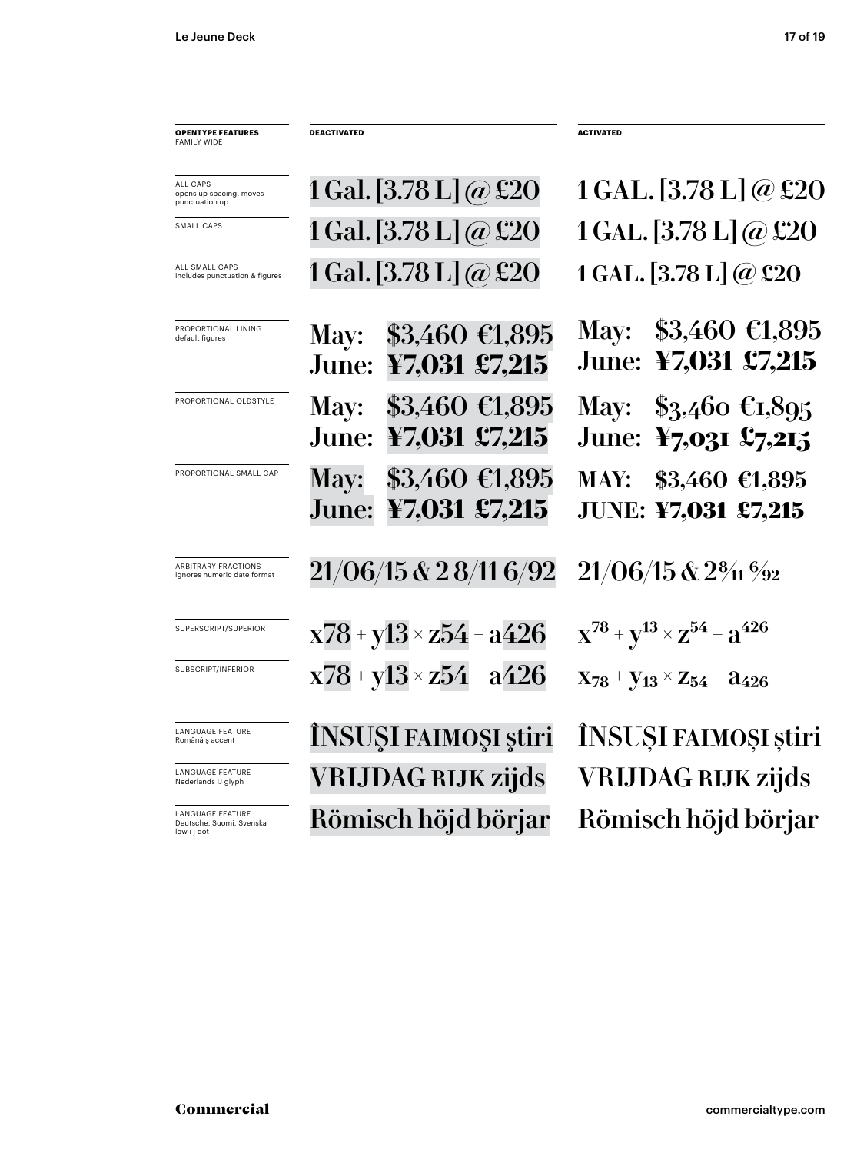| <b>OPENTYPE FEATURES</b><br><b>FAMILY WIDE</b>                     | <b>DEACTIVATED</b>                                       | <b>ACTIVATED</b>                                                        |
|--------------------------------------------------------------------|----------------------------------------------------------|-------------------------------------------------------------------------|
| ALL CAPS<br>opens up spacing, moves<br>punctuation up              | 1 Gal. [3.78 L] $\omega$ £20                             | 1 GAL. [3.78 L] @ £20                                                   |
| SMALL CAPS                                                         | 1 Gal. [3.78 L] @ £20                                    | $1$ GAL. [3.78 L] @ £20                                                 |
| ALL SMALL CAPS<br>includes punctuation & figures                   | 1 Gal. [3.78 L] $@$ £20                                  | 1 GAL. $[3.78 \text{ L}] @$ £20                                         |
| PROPORTIONAL LINING<br>default figures                             | \$3,460 €1,895<br>May:<br>June: ¥7,031 £7,215            | May: $$3,460 \in 1,895$<br>June: ¥7,031 £7,215                          |
| PROPORTIONAL OLDSTYLE                                              | May: \$3,460 €1,895<br>June: ¥7,031 £7,215               | May: $$3,460 \text{ } \text{\textsterling}1,895$<br>June: ¥7,031 £7,215 |
| PROPORTIONAL SMALL CAP                                             | $$3,460$ €1,895<br><b>May:</b><br>June:<br>¥7,031 £7,215 | MAY: \$3,460 €1,895<br><b>JUNE: ¥7,031 £7,215</b>                       |
| <b>ARBITRARY FRACTIONS</b><br>ignores numeric date format          | 21/06/15 & 28/11 6/92                                    | $21/06/15$ & $2\frac{8}{11}\frac{6}{22}$                                |
| SUPERSCRIPT/SUPERIOR                                               | $x78 + y13 \times z54 - a426$                            | $X^{78} + Y^{13} \times Z^{54} - Z^{426}$                               |
| SUBSCRIPT/INFERIOR                                                 | $x78 + y13 \times z54 - a426$                            | $X_{78}$ + $Y_{13}$ × $Z_{54}$ – $a_{426}$                              |
| LANGUAGE FEATURE<br>Română ș accent                                | INSUŞI FAIMOŞI ştiri                                     | ÎNSUȘI FAIMOȘI știri                                                    |
| LANGUAGE FEATURE<br>Nederlands IJ glyph                            | <b>VRIJDAG RIJK zijds</b>                                | <b>VRIJDAG RIJK zijds</b>                                               |
| <b>LANGUAGE FEATURE</b><br>Deutsche, Suomi, Svenska<br>low i j dot | Römisch höjd börjar                                      | Römisch höjd börjar                                                     |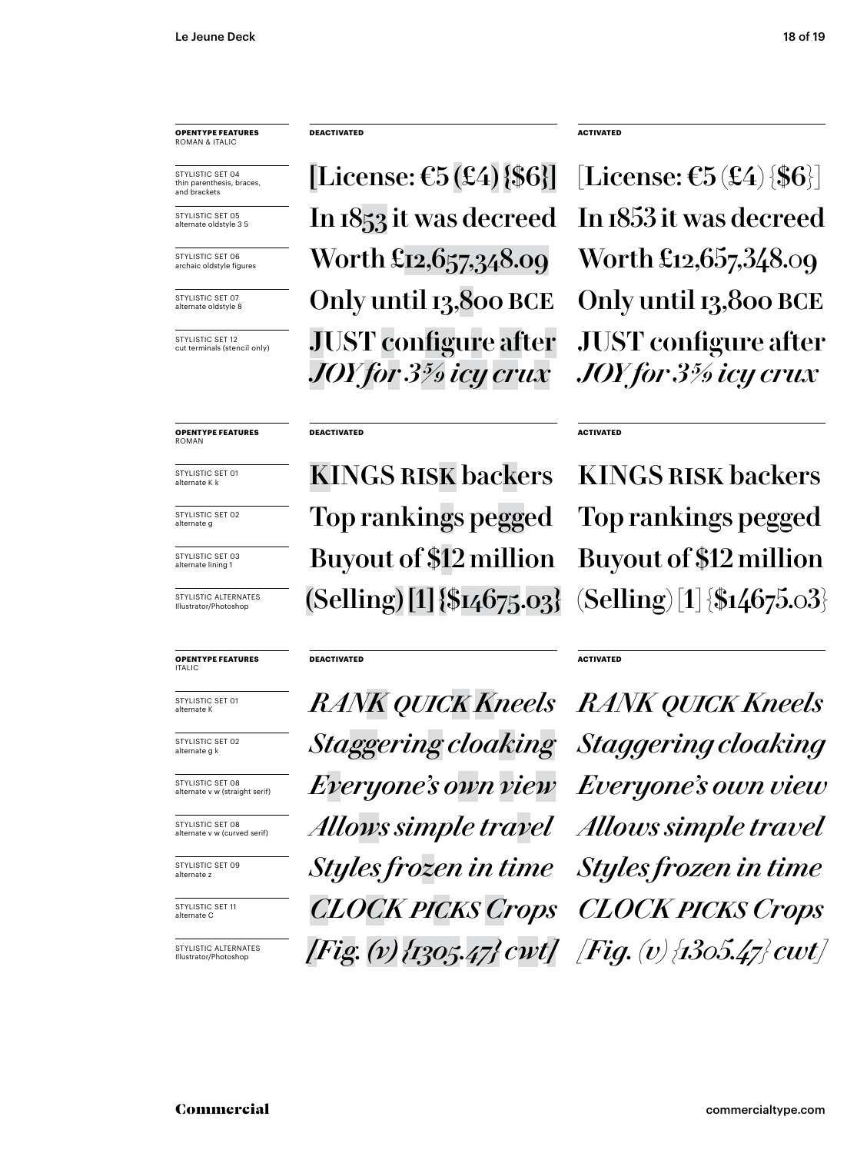STYLISTIC SET 04 thin parenthesis, braces, and brackets

STYLISTIC SET 05 alternate oldstyle 3 5

STYLISTIC SET 06 archaic oldstyle figures

STYLISTIC SFT 07 alternate oldstyle 8

STYLISTIC SET 12 cut terminals (stencil only)

**OPENTYPE FEATURES** ROMAN

STYLISTIC SET 01 alternate K k

STYLISTIC SET 02 alternate g

STYLISTIC SET 03 alternate lining 1

STYLISTIC ALTERNATES Illustrator/Photoshop

#### **OPENTYPE FEATURES** ITALIC

STYLISTIC SET 01 alternate K

STYLISTIC SET 02 alternate g k

STYLISTIC SET 08 alternate v w (straight serif)

STYLISTIC SET 08 alternate v w (curved serif)

STYLISTIC SFT 09 alternate z

STYLISTIC SET 11 alternate C

STYLISTIC ALTERNATES Illustrator/Photoshop

### **DEACTIVATED ACTIVATED**

[License:  $\mathfrak{E}5(\mathfrak{L}4)$  {\$6}] [License:  $\mathfrak{E}5(\mathfrak{L}4)$  {\$6}] In 1853 it was decreed In 1853 it was decreed Only until 13,800 BCE Only until 13,800 BCE Worth £12,657,348.09 Worth £12,657,348.09 JUST configure after *JOY for 3 5/9 icy crux*

### **DEACTIVATED**

KINGS RISK backers KINGS RISK backers Buyout of \$12 million Buyout of \$12 million Top rankings pegged Top rankings pegged  $(Selling) [1] \$ [14675.03]  $(Selling) [1] \$ [154675.03]

### **DEACTIVATED**

*RANK quick Kneels RANK quick Kneels Staggering cloaking Staggering cloaking Everyone's own view Everyone's own view Allows simple travel Allows simple travel Styles frozen in time Styles frozen in time CLOCK picks Crops CLOCK picks Crops [Fig. (v) {1305.47} cwt] [Fig. (v) {1305.47} cwt]*

JUST configure after *JOY for 3 5/9 icy crux*

### **ACTIVATED**

### **ACTIVATED**